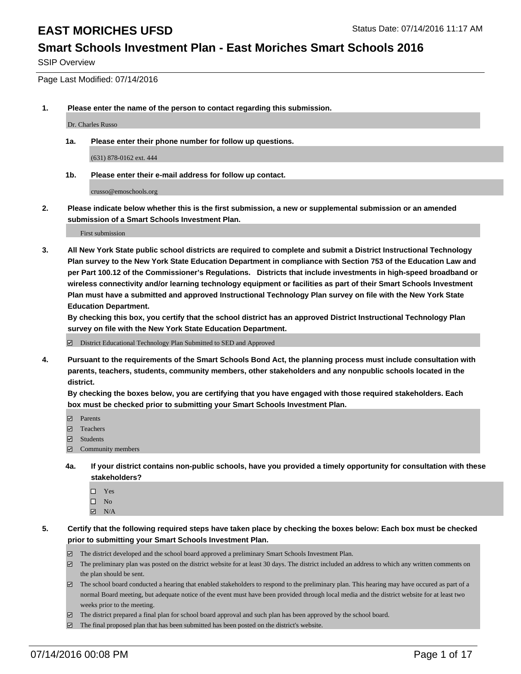#### **Smart Schools Investment Plan - East Moriches Smart Schools 2016**

SSIP Overview

Page Last Modified: 07/14/2016

**1. Please enter the name of the person to contact regarding this submission.**

Dr. Charles Russo

**1a. Please enter their phone number for follow up questions.**

(631) 878-0162 ext. 444

**1b. Please enter their e-mail address for follow up contact.**

crusso@emoschools.org

**2. Please indicate below whether this is the first submission, a new or supplemental submission or an amended submission of a Smart Schools Investment Plan.**

First submission

**3. All New York State public school districts are required to complete and submit a District Instructional Technology Plan survey to the New York State Education Department in compliance with Section 753 of the Education Law and per Part 100.12 of the Commissioner's Regulations. Districts that include investments in high-speed broadband or wireless connectivity and/or learning technology equipment or facilities as part of their Smart Schools Investment Plan must have a submitted and approved Instructional Technology Plan survey on file with the New York State Education Department.** 

**By checking this box, you certify that the school district has an approved District Instructional Technology Plan survey on file with the New York State Education Department.**

District Educational Technology Plan Submitted to SED and Approved

**4. Pursuant to the requirements of the Smart Schools Bond Act, the planning process must include consultation with parents, teachers, students, community members, other stakeholders and any nonpublic schools located in the district.** 

**By checking the boxes below, you are certifying that you have engaged with those required stakeholders. Each box must be checked prior to submitting your Smart Schools Investment Plan.**

- **Parents**
- Teachers
- $\blacksquare$  Students
- Community members
- **4a. If your district contains non-public schools, have you provided a timely opportunity for consultation with these stakeholders?**
	- $\Box$  Yes  $\square$  No
	- $\boxtimes$  N/A
- **5. Certify that the following required steps have taken place by checking the boxes below: Each box must be checked prior to submitting your Smart Schools Investment Plan.**
	- The district developed and the school board approved a preliminary Smart Schools Investment Plan.
	- $\boxdot$  The preliminary plan was posted on the district website for at least 30 days. The district included an address to which any written comments on the plan should be sent.
	- $\Box$  The school board conducted a hearing that enabled stakeholders to respond to the preliminary plan. This hearing may have occured as part of a normal Board meeting, but adequate notice of the event must have been provided through local media and the district website for at least two weeks prior to the meeting.
	- The district prepared a final plan for school board approval and such plan has been approved by the school board.
	- $\boxdot$  The final proposed plan that has been submitted has been posted on the district's website.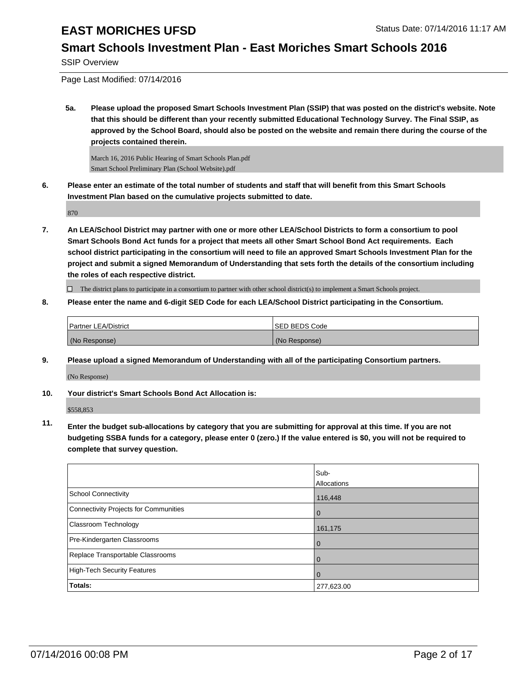## **Smart Schools Investment Plan - East Moriches Smart Schools 2016**

SSIP Overview

Page Last Modified: 07/14/2016

**5a. Please upload the proposed Smart Schools Investment Plan (SSIP) that was posted on the district's website. Note that this should be different than your recently submitted Educational Technology Survey. The Final SSIP, as approved by the School Board, should also be posted on the website and remain there during the course of the projects contained therein.**

March 16, 2016 Public Hearing of Smart Schools Plan.pdf Smart School Preliminary Plan (School Website).pdf

**6. Please enter an estimate of the total number of students and staff that will benefit from this Smart Schools Investment Plan based on the cumulative projects submitted to date.**

870

**7. An LEA/School District may partner with one or more other LEA/School Districts to form a consortium to pool Smart Schools Bond Act funds for a project that meets all other Smart School Bond Act requirements. Each school district participating in the consortium will need to file an approved Smart Schools Investment Plan for the project and submit a signed Memorandum of Understanding that sets forth the details of the consortium including the roles of each respective district.**

 $\Box$  The district plans to participate in a consortium to partner with other school district(s) to implement a Smart Schools project.

**8. Please enter the name and 6-digit SED Code for each LEA/School District participating in the Consortium.**

| <b>Partner LEA/District</b> | <b>ISED BEDS Code</b> |
|-----------------------------|-----------------------|
| (No Response)               | (No Response)         |

**9. Please upload a signed Memorandum of Understanding with all of the participating Consortium partners.**

(No Response)

#### **10. Your district's Smart Schools Bond Act Allocation is:**

\$558,853

**11. Enter the budget sub-allocations by category that you are submitting for approval at this time. If you are not budgeting SSBA funds for a category, please enter 0 (zero.) If the value entered is \$0, you will not be required to complete that survey question.**

|                                       | Sub-<br>Allocations |
|---------------------------------------|---------------------|
| <b>School Connectivity</b>            | 116,448             |
| Connectivity Projects for Communities | $\Omega$            |
| <b>Classroom Technology</b>           | 161,175             |
| Pre-Kindergarten Classrooms           | $\Omega$            |
| Replace Transportable Classrooms      |                     |
| High-Tech Security Features           | 0                   |
| Totals:                               | 277,623.00          |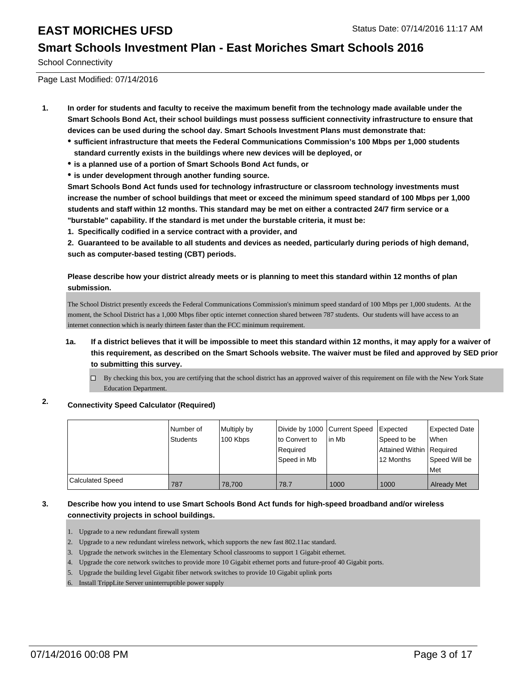#### **Smart Schools Investment Plan - East Moriches Smart Schools 2016**

School Connectivity

Page Last Modified: 07/14/2016

- **1. In order for students and faculty to receive the maximum benefit from the technology made available under the Smart Schools Bond Act, their school buildings must possess sufficient connectivity infrastructure to ensure that devices can be used during the school day. Smart Schools Investment Plans must demonstrate that:**
	- **sufficient infrastructure that meets the Federal Communications Commission's 100 Mbps per 1,000 students standard currently exists in the buildings where new devices will be deployed, or**
	- **is a planned use of a portion of Smart Schools Bond Act funds, or**
	- **is under development through another funding source.**

**Smart Schools Bond Act funds used for technology infrastructure or classroom technology investments must increase the number of school buildings that meet or exceed the minimum speed standard of 100 Mbps per 1,000 students and staff within 12 months. This standard may be met on either a contracted 24/7 firm service or a "burstable" capability. If the standard is met under the burstable criteria, it must be:**

**1. Specifically codified in a service contract with a provider, and**

**2. Guaranteed to be available to all students and devices as needed, particularly during periods of high demand, such as computer-based testing (CBT) periods.**

**Please describe how your district already meets or is planning to meet this standard within 12 months of plan submission.**

The School District presently exceeds the Federal Communications Commission's minimum speed standard of 100 Mbps per 1,000 students. At the moment, the School District has a 1,000 Mbps fiber optic internet connection shared between 787 students. Our students will have access to an internet connection which is nearly thirteen faster than the FCC minimum requirement.

- **1a. If a district believes that it will be impossible to meet this standard within 12 months, it may apply for a waiver of this requirement, as described on the Smart Schools website. The waiver must be filed and approved by SED prior to submitting this survey.**
	- $\Box$  By checking this box, you are certifying that the school district has an approved waiver of this requirement on file with the New York State Education Department.

### **2. Connectivity Speed Calculator (Required)**

|                  | l Number of<br><b>Students</b> | Multiply by<br>100 Kbps | Divide by 1000 Current Speed<br>lto Convert to<br>Required<br>Speed in Mb | In Mb | Expected<br>Speed to be<br>Attained Within   Required<br>12 Months | <b>Expected Date</b><br>lWhen<br>Speed Will be<br><b>Met</b> |
|------------------|--------------------------------|-------------------------|---------------------------------------------------------------------------|-------|--------------------------------------------------------------------|--------------------------------------------------------------|
| Calculated Speed | 787                            | 78,700                  | 78.7                                                                      | 1000  | 1000                                                               | <b>Already Met</b>                                           |

#### **3. Describe how you intend to use Smart Schools Bond Act funds for high-speed broadband and/or wireless connectivity projects in school buildings.**

- 1. Upgrade to a new redundant firewall system
- 2. Upgrade to a new redundant wireless network, which supports the new fast 802.11ac standard.
- 3. Upgrade the network switches in the Elementary School classrooms to support 1 Gigabit ethernet.
- 4. Upgrade the core network switches to provide more 10 Gigabit ethernet ports and future-proof 40 Gigabit ports.
- 5. Upgrade the building level Gigabit fiber network switches to provide 10 Gigabit uplink ports
- 6. Install TrippLite Server uninterruptible power supply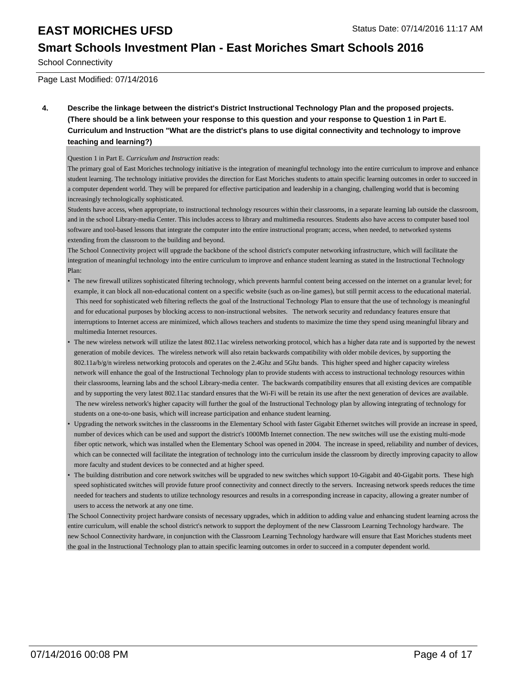## **Smart Schools Investment Plan - East Moriches Smart Schools 2016**

School Connectivity

Page Last Modified: 07/14/2016

**4. Describe the linkage between the district's District Instructional Technology Plan and the proposed projects. (There should be a link between your response to this question and your response to Question 1 in Part E. Curriculum and Instruction "What are the district's plans to use digital connectivity and technology to improve teaching and learning?)**

#### Question 1 in Part E. *Curriculum and Instruction* reads:

The primary goal of East Moriches technology initiative is the integration of meaningful technology into the entire curriculum to improve and enhance student learning. The technology initiative provides the direction for East Moriches students to attain specific learning outcomes in order to succeed in a computer dependent world. They will be prepared for effective participation and leadership in a changing, challenging world that is becoming increasingly technologically sophisticated.

Students have access, when appropriate, to instructional technology resources within their classrooms, in a separate learning lab outside the classroom, and in the school Library-media Center. This includes access to library and multimedia resources. Students also have access to computer based tool software and tool-based lessons that integrate the computer into the entire instructional program; access, when needed, to networked systems extending from the classroom to the building and beyond.

The School Connectivity project will upgrade the backbone of the school district's computer networking infrastructure, which will facilitate the integration of meaningful technology into the entire curriculum to improve and enhance student learning as stated in the Instructional Technology Plan:

- The new firewall utilizes sophisticated filtering technology, which prevents harmful content being accessed on the internet on a granular level; for example, it can block all non-educational content on a specific website (such as on-line games), but still permit access to the educational material. This need for sophisticated web filtering reflects the goal of the Instructional Technology Plan to ensure that the use of technology is meaningful and for educational purposes by blocking access to non-instructional websites. The network security and redundancy features ensure that interruptions to Internet access are minimized, which allows teachers and students to maximize the time they spend using meaningful library and multimedia Internet resources.
- The new wireless network will utilize the latest 802.11ac wireless networking protocol, which has a higher data rate and is supported by the newest generation of mobile devices. The wireless network will also retain backwards compatibility with older mobile devices, by supporting the 802.11a/b/g/n wireless networking protocols and operates on the 2.4Ghz and 5Ghz bands. This higher speed and higher capacity wireless network will enhance the goal of the Instructional Technology plan to provide students with access to instructional technology resources within their classrooms, learning labs and the school Library-media center. The backwards compatibility ensures that all existing devices are compatible and by supporting the very latest 802.11ac standard ensures that the Wi-Fi will be retain its use after the next generation of devices are available. The new wireless network's higher capacity will further the goal of the Instructional Technology plan by allowing integrating of technology for students on a one-to-one basis, which will increase participation and enhance student learning. •
- Upgrading the network switches in the classrooms in the Elementary School with faster Gigabit Ethernet switches will provide an increase in speed, number of devices which can be used and support the district's 1000Mb Internet connection. The new switches will use the existing multi-mode fiber optic network, which was installed when the Elementary School was opened in 2004. The increase in speed, reliability and number of devices, which can be connected will facilitate the integration of technology into the curriculum inside the classroom by directly improving capacity to allow more faculty and student devices to be connected and at higher speed. •
- The building distribution and core network switches will be upgraded to new switches which support 10-Gigabit and 40-Gigabit ports. These high speed sophisticated switches will provide future proof connectivity and connect directly to the servers. Increasing network speeds reduces the time needed for teachers and students to utilize technology resources and results in a corresponding increase in capacity, allowing a greater number of users to access the network at any one time. •

The School Connectivity project hardware consists of necessary upgrades, which in addition to adding value and enhancing student learning across the entire curriculum, will enable the school district's network to support the deployment of the new Classroom Learning Technology hardware. The new School Connectivity hardware, in conjunction with the Classroom Learning Technology hardware will ensure that East Moriches students meet the goal in the Instructional Technology plan to attain specific learning outcomes in order to succeed in a computer dependent world.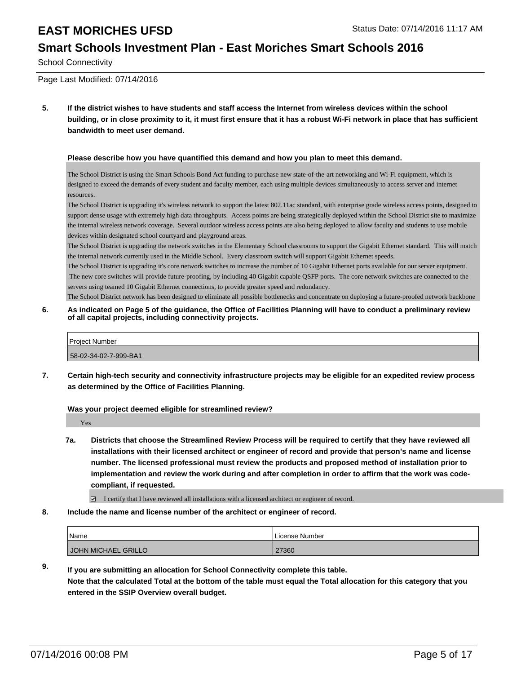#### **Smart Schools Investment Plan - East Moriches Smart Schools 2016**

School Connectivity

Page Last Modified: 07/14/2016

**5. If the district wishes to have students and staff access the Internet from wireless devices within the school building, or in close proximity to it, it must first ensure that it has a robust Wi-Fi network in place that has sufficient bandwidth to meet user demand.**

#### **Please describe how you have quantified this demand and how you plan to meet this demand.**

The School District is using the Smart Schools Bond Act funding to purchase new state-of-the-art networking and Wi-Fi equipment, which is designed to exceed the demands of every student and faculty member, each using multiple devices simultaneously to access server and internet resources.

The School District is upgrading it's wireless network to support the latest 802.11ac standard, with enterprise grade wireless access points, designed to support dense usage with extremely high data throughputs. Access points are being strategically deployed within the School District site to maximize the internal wireless network coverage. Several outdoor wireless access points are also being deployed to allow faculty and students to use mobile devices within designated school courtyard and playground areas.

The School District is upgrading the network switches in the Elementary School classrooms to support the Gigabit Ethernet standard. This will match the internal network currently used in the Middle School. Every classroom switch will support Gigabit Ethernet speeds.

The School District is upgrading it's core network switches to increase the number of 10 Gigabit Ethernet ports available for our server equipment. The new core switches will provide future-proofing, by including 40 Gigabit capable QSFP ports. The core network switches are connected to the servers using teamed 10 Gigabit Ethernet connections, to provide greater speed and redundancy.

The School District network has been designed to eliminate all possible bottlenecks and concentrate on deploying a future-proofed network backbone

**6. As indicated on Page 5 of the guidance, the Office of Facilities Planning will have to conduct a preliminary review of all capital projects, including connectivity projects.**

| <b>Project Number</b> |  |
|-----------------------|--|
| 58-02-34-02-7-999-BA1 |  |

**7. Certain high-tech security and connectivity infrastructure projects may be eligible for an expedited review process as determined by the Office of Facilities Planning.**

**Was your project deemed eligible for streamlined review?**

Yes

- **7a. Districts that choose the Streamlined Review Process will be required to certify that they have reviewed all installations with their licensed architect or engineer of record and provide that person's name and license number. The licensed professional must review the products and proposed method of installation prior to implementation and review the work during and after completion in order to affirm that the work was codecompliant, if requested.**
	- $\boxtimes$  I certify that I have reviewed all installations with a licensed architect or engineer of record.
- **8. Include the name and license number of the architect or engineer of record.**

| Name                | License Number |
|---------------------|----------------|
| JOHN MICHAEL GRILLO | 27360          |

**9. If you are submitting an allocation for School Connectivity complete this table. Note that the calculated Total at the bottom of the table must equal the Total allocation for this category that you entered in the SSIP Overview overall budget.**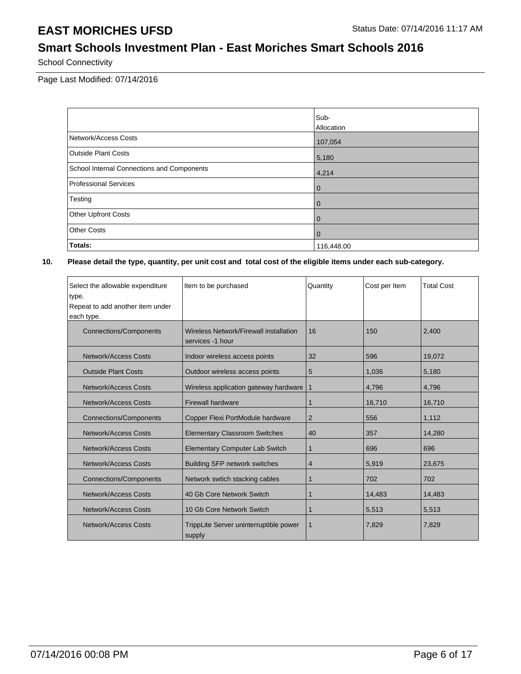## **Smart Schools Investment Plan - East Moriches Smart Schools 2016**

School Connectivity

Page Last Modified: 07/14/2016

|                                            | Sub-           |
|--------------------------------------------|----------------|
|                                            | Allocation     |
| Network/Access Costs                       | 107,054        |
| <b>Outside Plant Costs</b>                 | 5,180          |
| School Internal Connections and Components | 4,214          |
| Professional Services                      | $\overline{0}$ |
| Testing                                    | $\overline{0}$ |
| <b>Other Upfront Costs</b>                 | $\overline{0}$ |
| <b>Other Costs</b>                         | $\overline{0}$ |
| Totals:                                    | 116,448.00     |

| Select the allowable expenditure<br>type.      | Item to be purchased                                       | Quantity       | Cost per Item | <b>Total Cost</b> |
|------------------------------------------------|------------------------------------------------------------|----------------|---------------|-------------------|
| Repeat to add another item under<br>each type. |                                                            |                |               |                   |
| <b>Connections/Components</b>                  | Wireless Network/Firewall installation<br>services -1 hour | 16             | 150           | 2,400             |
| <b>Network/Access Costs</b>                    | Indoor wireless access points                              | 32             | 596           | 19,072            |
| <b>Outside Plant Costs</b>                     | Outdoor wireless access points                             | 5              | 1,036         | 5,180             |
| <b>Network/Access Costs</b>                    | Wireless application gateway hardware                      | 1              | 4,796         | 4,796             |
| Network/Access Costs                           | <b>Firewall hardware</b>                                   | 1              | 16,710        | 16,710            |
| <b>Connections/Components</b>                  | Copper Flexi PortModule hardware                           | $\overline{2}$ | 556           | 1,112             |
| Network/Access Costs                           | <b>Elementary Classroom Switches</b>                       | 40             | 357           | 14,280            |
| <b>Network/Access Costs</b>                    | <b>Elementary Computer Lab Switch</b>                      | 1              | 696           | 696               |
| Network/Access Costs                           | <b>Building SFP network switches</b>                       | 4              | 5,919         | 23,675            |
| <b>Connections/Components</b>                  | Network swtich stacking cables                             | 1              | 702           | 702               |
| <b>Network/Access Costs</b>                    | 40 Gb Core Network Switch                                  | 1              | 14,483        | 14,483            |
| <b>Network/Access Costs</b>                    | 10 Gb Core Network Switch                                  | 1              | 5,513         | 5,513             |
| Network/Access Costs                           | TrippLite Server uninterruptible power<br>supply           | 1              | 7,829         | 7,829             |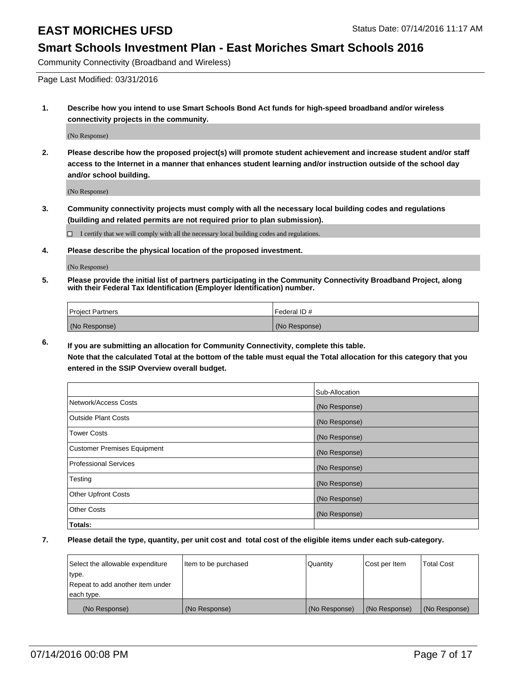### **Smart Schools Investment Plan - East Moriches Smart Schools 2016**

Community Connectivity (Broadband and Wireless)

Page Last Modified: 03/31/2016

**1. Describe how you intend to use Smart Schools Bond Act funds for high-speed broadband and/or wireless connectivity projects in the community.**

(No Response)

**2. Please describe how the proposed project(s) will promote student achievement and increase student and/or staff access to the Internet in a manner that enhances student learning and/or instruction outside of the school day and/or school building.**

(No Response)

**3. Community connectivity projects must comply with all the necessary local building codes and regulations (building and related permits are not required prior to plan submission).**

 $\Box$  I certify that we will comply with all the necessary local building codes and regulations.

**4. Please describe the physical location of the proposed investment.**

(No Response)

**5. Please provide the initial list of partners participating in the Community Connectivity Broadband Project, along with their Federal Tax Identification (Employer Identification) number.**

| Project Partners | <b>IFederal ID#</b> |
|------------------|---------------------|
| (No Response)    | (No Response)       |

**6. If you are submitting an allocation for Community Connectivity, complete this table. Note that the calculated Total at the bottom of the table must equal the Total allocation for this category that you**

**entered in the SSIP Overview overall budget.**

|                             | Sub-Allocation |
|-----------------------------|----------------|
| Network/Access Costs        | (No Response)  |
| <b>Outside Plant Costs</b>  | (No Response)  |
| Tower Costs                 | (No Response)  |
| Customer Premises Equipment | (No Response)  |
| Professional Services       | (No Response)  |
| Testing                     | (No Response)  |
| <b>Other Upfront Costs</b>  | (No Response)  |
| Other Costs                 | (No Response)  |
| Totals:                     |                |

| Select the allowable expenditure | Item to be purchased | Quantity      | Cost per Item | <b>Total Cost</b> |
|----------------------------------|----------------------|---------------|---------------|-------------------|
| type.                            |                      |               |               |                   |
| Repeat to add another item under |                      |               |               |                   |
| each type.                       |                      |               |               |                   |
| (No Response)                    | (No Response)        | (No Response) | (No Response) | (No Response)     |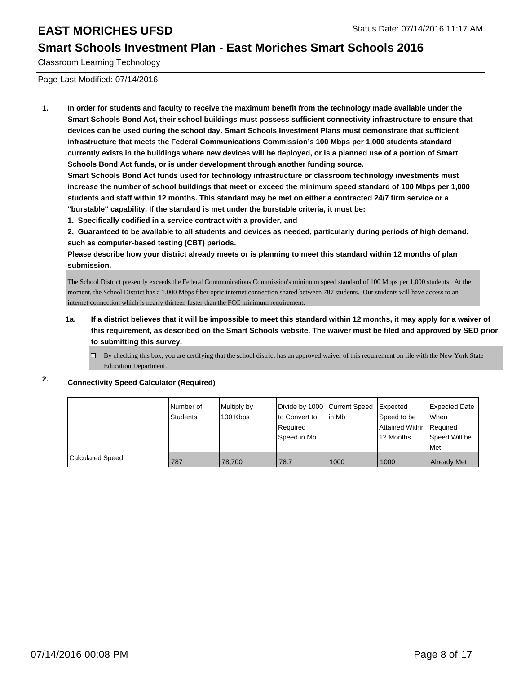### **Smart Schools Investment Plan - East Moriches Smart Schools 2016**

Classroom Learning Technology

Page Last Modified: 07/14/2016

**1. In order for students and faculty to receive the maximum benefit from the technology made available under the Smart Schools Bond Act, their school buildings must possess sufficient connectivity infrastructure to ensure that devices can be used during the school day. Smart Schools Investment Plans must demonstrate that sufficient infrastructure that meets the Federal Communications Commission's 100 Mbps per 1,000 students standard currently exists in the buildings where new devices will be deployed, or is a planned use of a portion of Smart Schools Bond Act funds, or is under development through another funding source.**

**Smart Schools Bond Act funds used for technology infrastructure or classroom technology investments must increase the number of school buildings that meet or exceed the minimum speed standard of 100 Mbps per 1,000 students and staff within 12 months. This standard may be met on either a contracted 24/7 firm service or a "burstable" capability. If the standard is met under the burstable criteria, it must be:**

**1. Specifically codified in a service contract with a provider, and**

**2. Guaranteed to be available to all students and devices as needed, particularly during periods of high demand, such as computer-based testing (CBT) periods.**

**Please describe how your district already meets or is planning to meet this standard within 12 months of plan submission.**

The School District presently exceeds the Federal Communications Commission's minimum speed standard of 100 Mbps per 1,000 students. At the moment, the School District has a 1,000 Mbps fiber optic internet connection shared between 787 students. Our students will have access to an internet connection which is nearly thirteen faster than the FCC minimum requirement.

**1a. If a district believes that it will be impossible to meet this standard within 12 months, it may apply for a waiver of this requirement, as described on the Smart Schools website. The waiver must be filed and approved by SED prior to submitting this survey.**

 $\Box$  By checking this box, you are certifying that the school district has an approved waiver of this requirement on file with the New York State Education Department.

#### **2. Connectivity Speed Calculator (Required)**

|                         | Number of<br><b>Students</b> | Multiply by<br>100 Kbps | Divide by 1000 Current Speed<br>to Convert to<br>Required<br>Speed in Mb | in Mb | Expected<br>Speed to be<br>Attained Within   Required<br>12 Months | <b>Expected Date</b><br><b>When</b><br>Speed Will be<br><b>Met</b> |
|-------------------------|------------------------------|-------------------------|--------------------------------------------------------------------------|-------|--------------------------------------------------------------------|--------------------------------------------------------------------|
| <b>Calculated Speed</b> | 787                          | 78.700                  | 78.7                                                                     | 1000  | 1000                                                               | <b>Already Met</b>                                                 |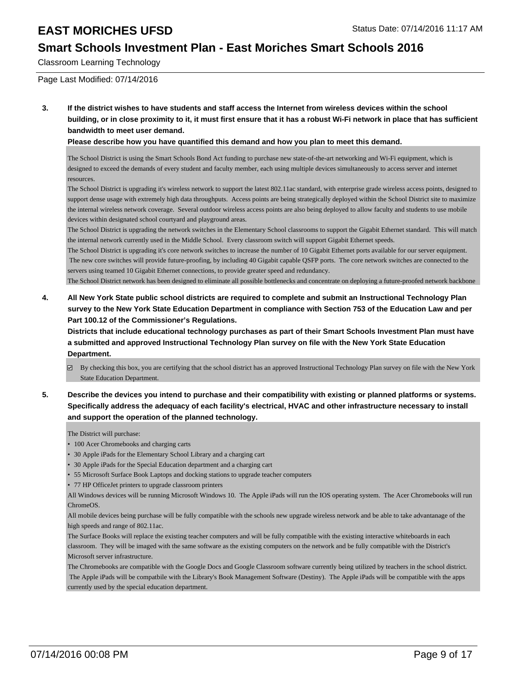### **Smart Schools Investment Plan - East Moriches Smart Schools 2016**

Classroom Learning Technology

Page Last Modified: 07/14/2016

**3. If the district wishes to have students and staff access the Internet from wireless devices within the school building, or in close proximity to it, it must first ensure that it has a robust Wi-Fi network in place that has sufficient bandwidth to meet user demand.**

**Please describe how you have quantified this demand and how you plan to meet this demand.**

The School District is using the Smart Schools Bond Act funding to purchase new state-of-the-art networking and Wi-Fi equipment, which is designed to exceed the demands of every student and faculty member, each using multiple devices simultaneously to access server and internet resources.

The School District is upgrading it's wireless network to support the latest 802.11ac standard, with enterprise grade wireless access points, designed to support dense usage with extremely high data throughputs. Access points are being strategically deployed within the School District site to maximize the internal wireless network coverage. Several outdoor wireless access points are also being deployed to allow faculty and students to use mobile devices within designated school courtyard and playground areas.

The School District is upgrading the network switches in the Elementary School classrooms to support the Gigabit Ethernet standard. This will match the internal network currently used in the Middle School. Every classroom switch will support Gigabit Ethernet speeds.

The School District is upgrading it's core network switches to increase the number of 10 Gigabit Ethernet ports available for our server equipment. The new core switches will provide future-proofing, by including 40 Gigabit capable QSFP ports. The core network switches are connected to the servers using teamed 10 Gigabit Ethernet connections, to provide greater speed and redundancy.

The School District network has been designed to eliminate all possible bottlenecks and concentrate on deploying a future-proofed network backbone

**4. All New York State public school districts are required to complete and submit an Instructional Technology Plan survey to the New York State Education Department in compliance with Section 753 of the Education Law and per Part 100.12 of the Commissioner's Regulations.**

**Districts that include educational technology purchases as part of their Smart Schools Investment Plan must have a submitted and approved Instructional Technology Plan survey on file with the New York State Education Department.**

- By checking this box, you are certifying that the school district has an approved Instructional Technology Plan survey on file with the New York State Education Department.
- **5. Describe the devices you intend to purchase and their compatibility with existing or planned platforms or systems. Specifically address the adequacy of each facility's electrical, HVAC and other infrastructure necessary to install and support the operation of the planned technology.**

The District will purchase:

- 100 Acer Chromebooks and charging carts
- 30 Apple iPads for the Elementary School Library and a charging cart
- 30 Apple iPads for the Special Education department and a charging cart
- 55 Microsoft Surface Book Laptops and docking stations to upgrade teacher computers
- 77 HP OfficeJet printers to upgrade classroom printers

All Windows devices will be running Microsoft Windows 10. The Apple iPads will run the IOS operating system. The Acer Chromebooks will run ChromeOS.

All mobile devices being purchase will be fully compatible with the schools new upgrade wireless network and be able to take advantanage of the high speeds and range of 802.11ac.

The Surface Books will replace the existing teacher computers and will be fully compatible with the existing interactive whiteboards in each classroom. They will be imaged with the same software as the existing computers on the network and be fully compatible with the District's Microsoft server infrastructure.

The Chromebooks are compatible with the Google Docs and Google Classroom software currently being utilized by teachers in the school district. The Apple iPads will be compatbile with the Library's Book Management Software (Destiny). The Apple iPads will be compatible with the apps currently used by the special education department.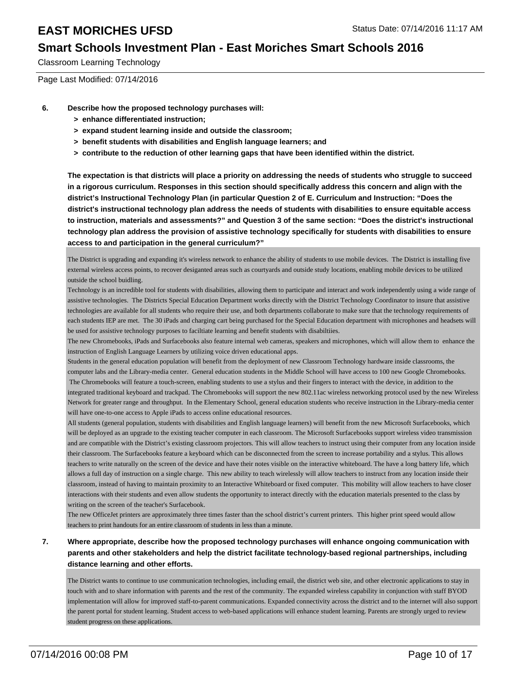### **Smart Schools Investment Plan - East Moriches Smart Schools 2016**

Classroom Learning Technology

Page Last Modified: 07/14/2016

- **6. Describe how the proposed technology purchases will:**
	- **> enhance differentiated instruction;**
	- **> expand student learning inside and outside the classroom;**
	- **> benefit students with disabilities and English language learners; and**
	- **> contribute to the reduction of other learning gaps that have been identified within the district.**

**The expectation is that districts will place a priority on addressing the needs of students who struggle to succeed in a rigorous curriculum. Responses in this section should specifically address this concern and align with the district's Instructional Technology Plan (in particular Question 2 of E. Curriculum and Instruction: "Does the district's instructional technology plan address the needs of students with disabilities to ensure equitable access to instruction, materials and assessments?" and Question 3 of the same section: "Does the district's instructional technology plan address the provision of assistive technology specifically for students with disabilities to ensure access to and participation in the general curriculum?"**

The District is upgrading and expanding it's wireless network to enhance the ability of students to use mobile devices. The District is installing five external wireless access points, to recover desiganted areas such as courtyards and outside study locations, enabling mobile devices to be utilized outside the school buidling.

Technology is an incredible tool for students with disabilities, allowing them to participate and interact and work independently using a wide range of assistive technologies. The District s Special Education Department works directly with the District Technology Coordinator to insure that assistive technologies are available for all students who require their use, and both departments collaborate to make sure that the technology requirements of each students IEP are met. The 30 iPads and charging cart being purchased for the Special Education department with microphones and headsets will be used for assistive technology purposes to faciltiate learning and benefit students with disabiltiies.

The new Chromebooks, iPads and Surfacebooks also feature internal web cameras, speakers and microphones, which will allow them to enhance the instruction of English Language Learners by utilizing voice driven educational apps.

Students in the general education population will benefit from the deployment of new Classroom Technology hardware inside classrooms, the computer labs and the Library-media center. General education students in the Middle School will have access to 100 new Google Chromebooks. The Chromebooks will feature a touch-screen, enabling students to use a stylus and their fingers to interact with the device, in addition to the integrated traditional keyboard and trackpad. The Chromebooks will support the new 802.11ac wireless networking protocol used by the new Wireless Network for greater range and throughput. In the Elementary School, general education students who receive instruction in the Library-media center will have one-to-one access to Apple iPads to access online educational resources.

All students (general population, students with disabilities and English language learners) will benefit from the new Microsoft Surfacebooks, which will be deployed as an upgrade to the existing teacher computer in each classroom. The Microsoft Surfacebooks support wireless video transmission and are compatible with the District's existing classroom projectors. This will allow teachers to instruct using their computer from any location inside their classroom. The Surfacebooks feature a keyboard which can be disconnected from the screen to increase portability and a stylus. This allows teachers to write naturally on the screen of the device and have their notes visible on the interactive whiteboard. The have a long battery life, which allows a full day of instruction on a single charge. This new ability to teach wirelessly will allow teachers to instruct from any location inside their classroom, instead of having to maintain proximity to an Interactive Whiteboard or fixed computer. This mobility will allow teachers to have closer interactions with their students and even allow students the opportunity to interact directly with the education materials presented to the class by writing on the screen of the teacher's Surfacebook.

The new OfficeJet printers are approximately three times faster than the school district's current printers. This higher print speed would allow teachers to print handouts for an entire classroom of students in less than a minute.

#### **7. Where appropriate, describe how the proposed technology purchases will enhance ongoing communication with parents and other stakeholders and help the district facilitate technology-based regional partnerships, including distance learning and other efforts.**

The District wants to continue to use communication technologies, including email, the district web site, and other electronic applications to stay in touch with and to share information with parents and the rest of the community. The expanded wireless capability in conjunction with staff BYOD implementation will allow for improved staff-to-parent communications. Expanded connectivity across the district and to the internet will also support the parent portal for student learning. Student access to web-based applications will enhance student learning. Parents are strongly urged to review student progress on these applications.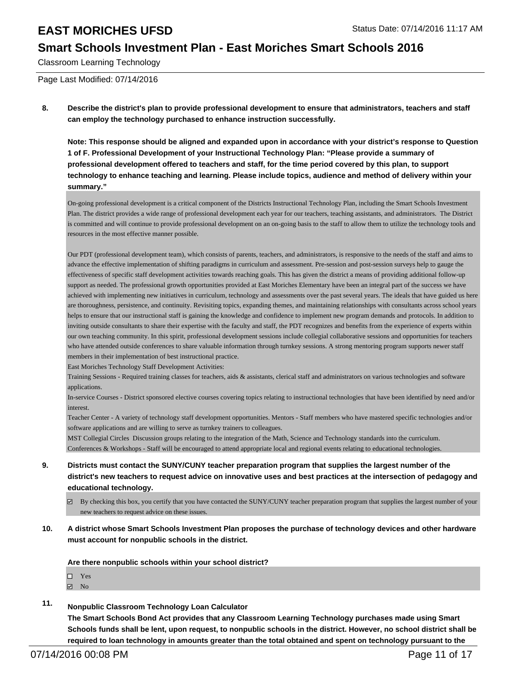### **Smart Schools Investment Plan - East Moriches Smart Schools 2016**

Classroom Learning Technology

Page Last Modified: 07/14/2016

**8. Describe the district's plan to provide professional development to ensure that administrators, teachers and staff can employ the technology purchased to enhance instruction successfully.**

**Note: This response should be aligned and expanded upon in accordance with your district's response to Question 1 of F. Professional Development of your Instructional Technology Plan: "Please provide a summary of professional development offered to teachers and staff, for the time period covered by this plan, to support technology to enhance teaching and learning. Please include topics, audience and method of delivery within your summary."**

On-going professional development is a critical component of the Districts Instructional Technology Plan, including the Smart Schools Investment Plan. The district provides a wide range of professional development each year for our teachers, teaching assistants, and administrators. The District is committed and will continue to provide professional development on an on-going basis to the staff to allow them to utilize the technology tools and resources in the most effective manner possible.

Our PDT (professional development team), which consists of parents, teachers, and administrators, is responsive to the needs of the staff and aims to advance the effective implementation of shifting paradigms in curriculum and assessment. Pre-session and post-session surveys help to gauge the effectiveness of specific staff development activities towards reaching goals. This has given the district a means of providing additional follow-up support as needed. The professional growth opportunities provided at East Moriches Elementary have been an integral part of the success we have achieved with implementing new initiatives in curriculum, technology and assessments over the past several years. The ideals that have guided us here are thoroughness, persistence, and continuity. Revisiting topics, expanding themes, and maintaining relationships with consultants across school years helps to ensure that our instructional staff is gaining the knowledge and confidence to implement new program demands and protocols. In addition to inviting outside consultants to share their expertise with the faculty and staff, the PDT recognizes and benefits from the experience of experts within our own teaching community. In this spirit, professional development sessions include collegial collaborative sessions and opportunities for teachers who have attended outside conferences to share valuable information through turnkey sessions. A strong mentoring program supports newer staff members in their implementation of best instructional practice.

East Moriches Technology Staff Development Activities:

Training Sessions - Required training classes for teachers, aids & assistants, clerical staff and administrators on various technologies and software applications.

In-service Courses - District sponsored elective courses covering topics relating to instructional technologies that have been identified by need and/or interest.

Teacher Center - A variety of technology staff development opportunities. Mentors - Staff members who have mastered specific technologies and/or software applications and are willing to serve as turnkey trainers to colleagues.

MST Collegial Circles Discussion groups relating to the integration of the Math, Science and Technology standards into the curriculum. Conferences & Workshops - Staff will be encouraged to attend appropriate local and regional events relating to educational technologies.

- **9. Districts must contact the SUNY/CUNY teacher preparation program that supplies the largest number of the district's new teachers to request advice on innovative uses and best practices at the intersection of pedagogy and educational technology.**
	- By checking this box, you certify that you have contacted the SUNY/CUNY teacher preparation program that supplies the largest number of your new teachers to request advice on these issues.
- **10. A district whose Smart Schools Investment Plan proposes the purchase of technology devices and other hardware must account for nonpublic schools in the district.**

**Are there nonpublic schools within your school district?**

- □ Yes
- $\blacksquare$  No
- **11. Nonpublic Classroom Technology Loan Calculator**

**The Smart Schools Bond Act provides that any Classroom Learning Technology purchases made using Smart Schools funds shall be lent, upon request, to nonpublic schools in the district. However, no school district shall be required to loan technology in amounts greater than the total obtained and spent on technology pursuant to the**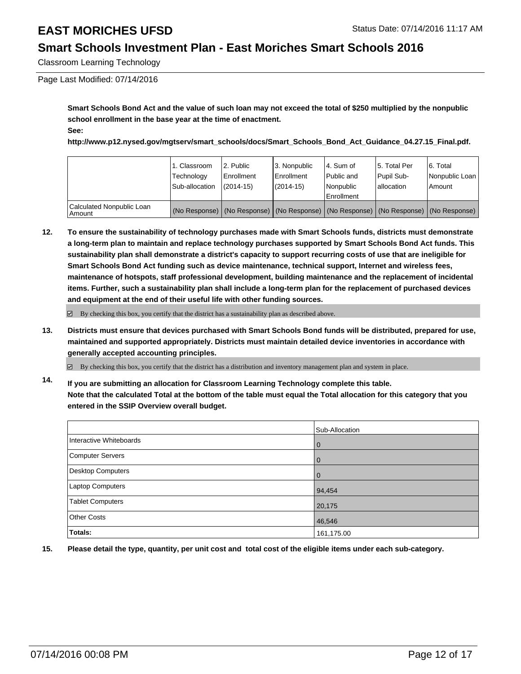### **Smart Schools Investment Plan - East Moriches Smart Schools 2016**

Classroom Learning Technology

Page Last Modified: 07/14/2016

**Smart Schools Bond Act and the value of such loan may not exceed the total of \$250 multiplied by the nonpublic school enrollment in the base year at the time of enactment. See:**

**http://www.p12.nysed.gov/mgtserv/smart\_schools/docs/Smart\_Schools\_Bond\_Act\_Guidance\_04.27.15\_Final.pdf.**

|                                     | 1. Classroom<br>Technology<br>Sub-allocation | 2. Public<br>Enrollment<br>$(2014 - 15)$ | l 3. Nonpublic<br><b>Enrollment</b><br>(2014-15) | 4. Sum of<br>Public and<br>Nonpublic<br>Enrollment                                            | 15. Total Per<br>Pupil Sub-<br>lallocation | 6. Total<br>Nonpublic Loan<br>Amount |
|-------------------------------------|----------------------------------------------|------------------------------------------|--------------------------------------------------|-----------------------------------------------------------------------------------------------|--------------------------------------------|--------------------------------------|
| Calculated Nonpublic Loan<br>Amount |                                              |                                          |                                                  | (No Response)   (No Response)   (No Response)   (No Response)   (No Response)   (No Response) |                                            |                                      |

**12. To ensure the sustainability of technology purchases made with Smart Schools funds, districts must demonstrate a long-term plan to maintain and replace technology purchases supported by Smart Schools Bond Act funds. This sustainability plan shall demonstrate a district's capacity to support recurring costs of use that are ineligible for Smart Schools Bond Act funding such as device maintenance, technical support, Internet and wireless fees, maintenance of hotspots, staff professional development, building maintenance and the replacement of incidental items. Further, such a sustainability plan shall include a long-term plan for the replacement of purchased devices and equipment at the end of their useful life with other funding sources.**

 $\boxdot$  By checking this box, you certify that the district has a sustainability plan as described above.

**13. Districts must ensure that devices purchased with Smart Schools Bond funds will be distributed, prepared for use, maintained and supported appropriately. Districts must maintain detailed device inventories in accordance with generally accepted accounting principles.**

 $\boxtimes$  By checking this box, you certify that the district has a distribution and inventory management plan and system in place.

**14. If you are submitting an allocation for Classroom Learning Technology complete this table. Note that the calculated Total at the bottom of the table must equal the Total allocation for this category that you entered in the SSIP Overview overall budget.**

|                         | Sub-Allocation |
|-------------------------|----------------|
| Interactive Whiteboards | $\mathbf 0$    |
| Computer Servers        | 0              |
| Desktop Computers       | $\Omega$       |
| Laptop Computers        | 94,454         |
| <b>Tablet Computers</b> | 20,175         |
| <b>Other Costs</b>      | 46,546         |
| Totals:                 | 161,175.00     |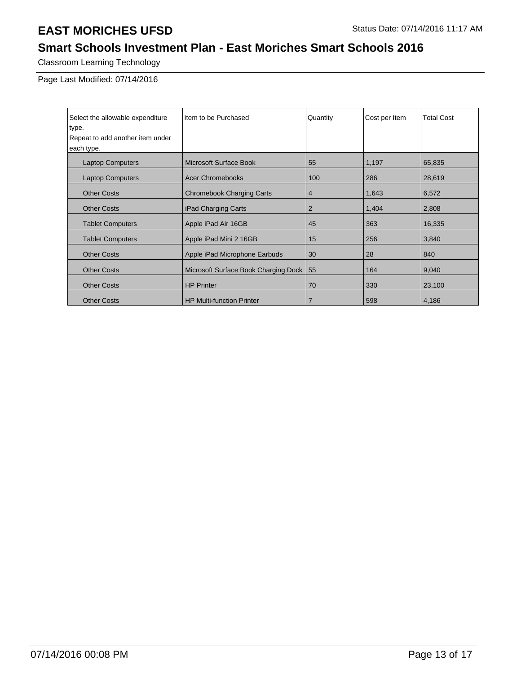## **Smart Schools Investment Plan - East Moriches Smart Schools 2016**

Classroom Learning Technology

Page Last Modified: 07/14/2016

| Select the allowable expenditure | Item to be Purchased                 | Quantity       | Cost per Item | <b>Total Cost</b> |
|----------------------------------|--------------------------------------|----------------|---------------|-------------------|
| type.                            |                                      |                |               |                   |
| Repeat to add another item under |                                      |                |               |                   |
| each type.                       |                                      |                |               |                   |
| <b>Laptop Computers</b>          | Microsoft Surface Book               | 55             | 1,197         | 65,835            |
| <b>Laptop Computers</b>          | <b>Acer Chromebooks</b>              | 100            | 286           | 28,619            |
| <b>Other Costs</b>               | <b>Chromebook Charging Carts</b>     | 4              | 1,643         | 6,572             |
| <b>Other Costs</b>               | iPad Charging Carts                  | $\overline{2}$ | 1,404         | 2,808             |
| <b>Tablet Computers</b>          | Apple iPad Air 16GB                  | 45             | 363           | 16,335            |
| <b>Tablet Computers</b>          | Apple iPad Mini 2 16GB               | 15             | 256           | 3,840             |
| <b>Other Costs</b>               | Apple iPad Microphone Earbuds        | 30             | 28            | 840               |
| <b>Other Costs</b>               | Microsoft Surface Book Charging Dock | 55             | 164           | 9,040             |
| <b>Other Costs</b>               | <b>HP Printer</b>                    | 70             | 330           | 23,100            |
| <b>Other Costs</b>               | <b>HP Multi-function Printer</b>     | 7              | 598           | 4,186             |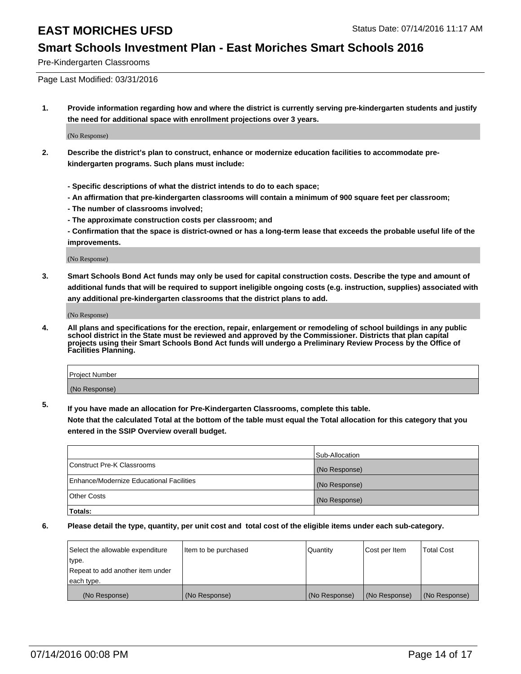#### **Smart Schools Investment Plan - East Moriches Smart Schools 2016**

Pre-Kindergarten Classrooms

Page Last Modified: 03/31/2016

**1. Provide information regarding how and where the district is currently serving pre-kindergarten students and justify the need for additional space with enrollment projections over 3 years.**

(No Response)

- **2. Describe the district's plan to construct, enhance or modernize education facilities to accommodate prekindergarten programs. Such plans must include:**
	- **Specific descriptions of what the district intends to do to each space;**
	- **An affirmation that pre-kindergarten classrooms will contain a minimum of 900 square feet per classroom;**
	- **The number of classrooms involved;**
	- **The approximate construction costs per classroom; and**
	- **Confirmation that the space is district-owned or has a long-term lease that exceeds the probable useful life of the improvements.**

(No Response)

**3. Smart Schools Bond Act funds may only be used for capital construction costs. Describe the type and amount of additional funds that will be required to support ineligible ongoing costs (e.g. instruction, supplies) associated with any additional pre-kindergarten classrooms that the district plans to add.**

(No Response)

**4. All plans and specifications for the erection, repair, enlargement or remodeling of school buildings in any public school district in the State must be reviewed and approved by the Commissioner. Districts that plan capital projects using their Smart Schools Bond Act funds will undergo a Preliminary Review Process by the Office of Facilities Planning.**

| Project Number |  |
|----------------|--|
| (No Response)  |  |

**5. If you have made an allocation for Pre-Kindergarten Classrooms, complete this table.**

**Note that the calculated Total at the bottom of the table must equal the Total allocation for this category that you entered in the SSIP Overview overall budget.**

|                                          | Sub-Allocation |
|------------------------------------------|----------------|
| Construct Pre-K Classrooms               | (No Response)  |
| Enhance/Modernize Educational Facilities | (No Response)  |
| <b>Other Costs</b>                       | (No Response)  |
| Totals:                                  |                |

| Select the allowable expenditure | Item to be purchased | Quantity      | Cost per Item | <b>Total Cost</b> |
|----------------------------------|----------------------|---------------|---------------|-------------------|
| type.                            |                      |               |               |                   |
| Repeat to add another item under |                      |               |               |                   |
| each type.                       |                      |               |               |                   |
| (No Response)                    | (No Response)        | (No Response) | (No Response) | (No Response)     |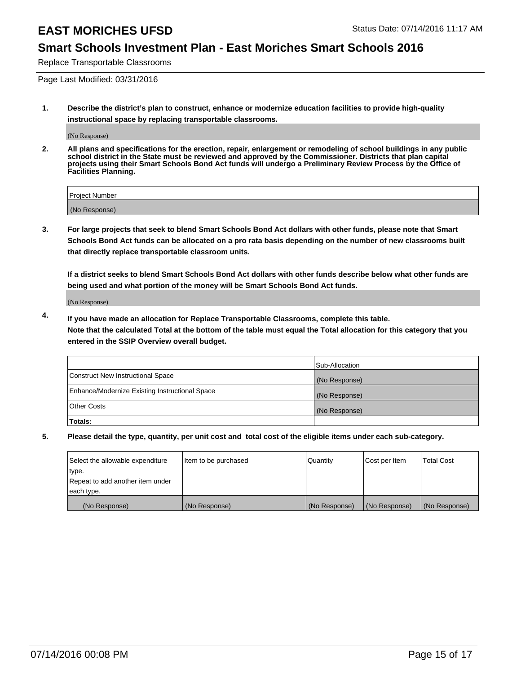### **Smart Schools Investment Plan - East Moriches Smart Schools 2016**

Replace Transportable Classrooms

Page Last Modified: 03/31/2016

**1. Describe the district's plan to construct, enhance or modernize education facilities to provide high-quality instructional space by replacing transportable classrooms.**

(No Response)

**2. All plans and specifications for the erection, repair, enlargement or remodeling of school buildings in any public school district in the State must be reviewed and approved by the Commissioner. Districts that plan capital projects using their Smart Schools Bond Act funds will undergo a Preliminary Review Process by the Office of Facilities Planning.**

| Project Number |  |
|----------------|--|
| (No Response)  |  |

**3. For large projects that seek to blend Smart Schools Bond Act dollars with other funds, please note that Smart Schools Bond Act funds can be allocated on a pro rata basis depending on the number of new classrooms built that directly replace transportable classroom units.**

**If a district seeks to blend Smart Schools Bond Act dollars with other funds describe below what other funds are being used and what portion of the money will be Smart Schools Bond Act funds.**

(No Response)

**4. If you have made an allocation for Replace Transportable Classrooms, complete this table. Note that the calculated Total at the bottom of the table must equal the Total allocation for this category that you entered in the SSIP Overview overall budget.**

|                                                | Sub-Allocation |
|------------------------------------------------|----------------|
| Construct New Instructional Space              | (No Response)  |
| Enhance/Modernize Existing Instructional Space | (No Response)  |
| Other Costs                                    | (No Response)  |
| Totals:                                        |                |

| Select the allowable expenditure | Item to be purchased | Quantity      | Cost per Item | <b>Total Cost</b> |
|----------------------------------|----------------------|---------------|---------------|-------------------|
| type.                            |                      |               |               |                   |
| Repeat to add another item under |                      |               |               |                   |
| each type.                       |                      |               |               |                   |
| (No Response)                    | (No Response)        | (No Response) | (No Response) | (No Response)     |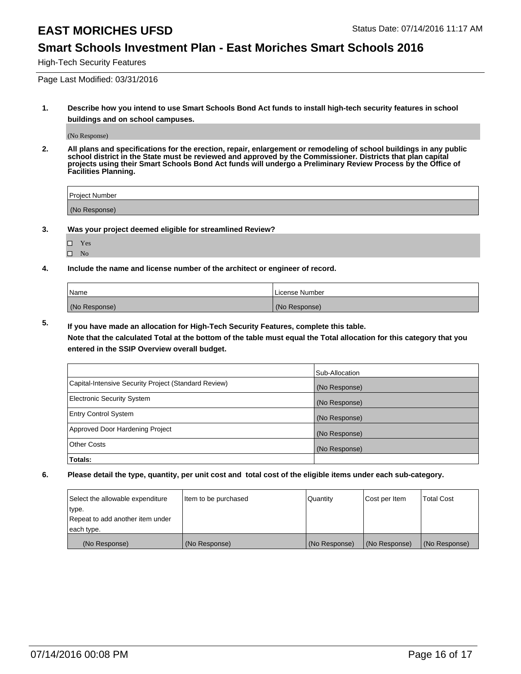### **Smart Schools Investment Plan - East Moriches Smart Schools 2016**

High-Tech Security Features

Page Last Modified: 03/31/2016

**1. Describe how you intend to use Smart Schools Bond Act funds to install high-tech security features in school buildings and on school campuses.**

(No Response)

**2. All plans and specifications for the erection, repair, enlargement or remodeling of school buildings in any public school district in the State must be reviewed and approved by the Commissioner. Districts that plan capital projects using their Smart Schools Bond Act funds will undergo a Preliminary Review Process by the Office of Facilities Planning.** 

| Proiect Number |  |
|----------------|--|
| (No Response)  |  |

**3. Was your project deemed eligible for streamlined Review?**

| ш | Yes |  |
|---|-----|--|
| ш | Nο  |  |

**4. Include the name and license number of the architect or engineer of record.**

| Name          | License Number |
|---------------|----------------|
| (No Response) | (No Response)  |

**5. If you have made an allocation for High-Tech Security Features, complete this table.**

**Note that the calculated Total at the bottom of the table must equal the Total allocation for this category that you entered in the SSIP Overview overall budget.**

|                                                      | Sub-Allocation |
|------------------------------------------------------|----------------|
| Capital-Intensive Security Project (Standard Review) | (No Response)  |
| <b>Electronic Security System</b>                    | (No Response)  |
| <b>Entry Control System</b>                          | (No Response)  |
| Approved Door Hardening Project                      | (No Response)  |
| <b>Other Costs</b>                                   | (No Response)  |
| Totals:                                              |                |

| Select the allowable expenditure | Item to be purchased | Quantity      | Cost per Item | <b>Total Cost</b> |
|----------------------------------|----------------------|---------------|---------------|-------------------|
| type.                            |                      |               |               |                   |
| Repeat to add another item under |                      |               |               |                   |
| each type.                       |                      |               |               |                   |
| (No Response)                    | (No Response)        | (No Response) | (No Response) | (No Response)     |